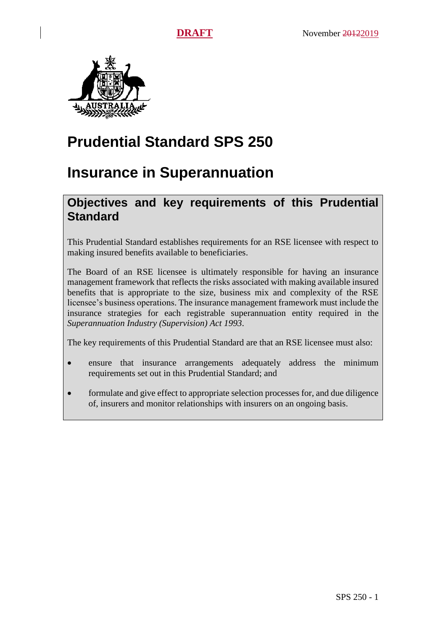

# **Prudential Standard SPS 250**

## **Insurance in Superannuation**

## **Objectives and key requirements of this Prudential Standard**

This Prudential Standard establishes requirements for an RSE licensee with respect to making insured benefits available to beneficiaries.

The Board of an RSE licensee is ultimately responsible for having an insurance management framework that reflects the risks associated with making available insured benefits that is appropriate to the size, business mix and complexity of the RSE licensee's business operations. The insurance management framework must include the insurance strategies for each registrable superannuation entity required in the *Superannuation Industry (Supervision) Act 1993*.

The key requirements of this Prudential Standard are that an RSE licensee must also:

- ensure that insurance arrangements adequately address the minimum requirements set out in this Prudential Standard; and
- formulate and give effect to appropriate selection processes for, and due diligence of, insurers and monitor relationships with insurers on an ongoing basis.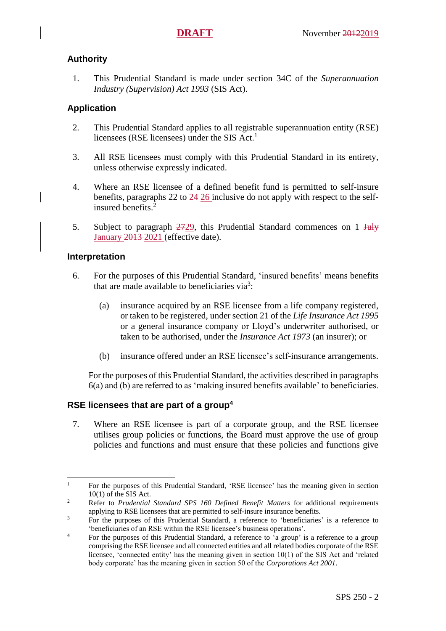### **Authority**

1. This Prudential Standard is made under section 34C of the *Superannuation Industry (Supervision) Act 1993* (SIS Act).

### **Application**

- 2. This Prudential Standard applies to all registrable superannuation entity (RSE) licensees (RSE licensees) under the SIS Act. 1
- 3. All RSE licensees must comply with this Prudential Standard in its entirety, unless otherwise expressly indicated.
- 4. Where an RSE licensee of a defined benefit fund is permitted to self-insure benefits, paragraphs 22 to [24](#page-5-0) 26 inclusive do not apply with respect to the selfinsured benefits. 2
- 5. Subject to paragraph  $\frac{2729}{100}$ , this Prudential Standard commences on 1 July January 2013-2021 (effective date).

### **Interpretation**

 $\overline{a}$ 

- <span id="page-1-0"></span>6. For the purposes of this Prudential Standard, 'insured benefits' means benefits that are made available to beneficiaries via<sup>3</sup>:
	- (a) insurance acquired by an RSE licensee from a life company registered, or taken to be registered, under section 21 of the *Life Insurance Act 1995* or a general insurance company or Lloyd's underwriter authorised, or taken to be authorised, under the *Insurance Act 1973* (an insurer); or
	- (b) insurance offered under an RSE licensee's self-insurance arrangements.

For the purposes of this Prudential Standard, the activities described in paragraphs [6\(](#page-1-0)a) and (b) are referred to as 'making insured benefits available' to beneficiaries.

### **RSE licensees that are part of a group<sup>4</sup>**

7. Where an RSE licensee is part of a corporate group, and the RSE licensee utilises group policies or functions, the Board must approve the use of group policies and functions and must ensure that these policies and functions give

<sup>&</sup>lt;sup>1</sup> For the purposes of this Prudential Standard, 'RSE licensee' has the meaning given in section 10(1) of the SIS Act.

<sup>&</sup>lt;sup>2</sup> Refer to *Prudential Standard SPS 160 Defined Benefit Matters* for additional requirements applying to RSE licensees that are permitted to self-insure insurance benefits.

<sup>&</sup>lt;sup>3</sup> For the purposes of this Prudential Standard, a reference to 'beneficiaries' is a reference to 'beneficiaries of an RSE within the RSE licensee's business operations'.

<sup>&</sup>lt;sup>4</sup> For the purposes of this Prudential Standard, a reference to 'a group' is a reference to a group comprising the RSE licensee and all connected entities and all related bodies corporate of the RSE licensee, 'connected entity' has the meaning given in section 10(1) of the SIS Act and 'related body corporate' has the meaning given in section 50 of the *Corporations Act 2001*.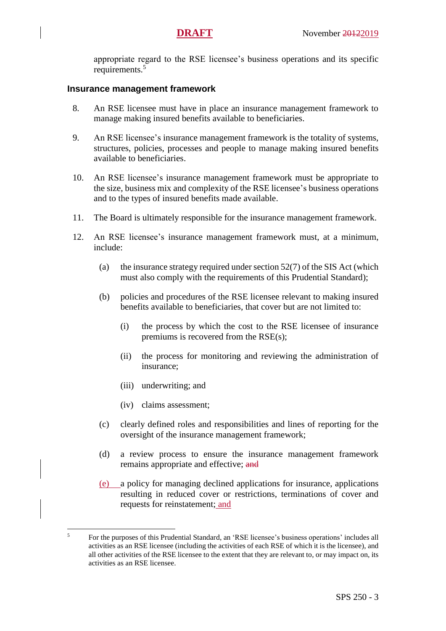appropriate regard to the RSE licensee's business operations and its specific requirements.<sup>5</sup>

#### **Insurance management framework**

- 8. An RSE licensee must have in place an insurance management framework to manage making insured benefits available to beneficiaries.
- 9. An RSE licensee's insurance management framework is the totality of systems, structures, policies, processes and people to manage making insured benefits available to beneficiaries.
- 10. An RSE licensee's insurance management framework must be appropriate to the size, business mix and complexity of the RSE licensee's business operations and to the types of insured benefits made available.
- 11. The Board is ultimately responsible for the insurance management framework.
- 12. An RSE licensee's insurance management framework must, at a minimum, include:
	- (a) the insurance strategy required under section  $52(7)$  of the SIS Act (which must also comply with the requirements of this Prudential Standard);
	- (b) policies and procedures of the RSE licensee relevant to making insured benefits available to beneficiaries, that cover but are not limited to:
		- (i) the process by which the cost to the RSE licensee of insurance premiums is recovered from the RSE(s);
		- (ii) the process for monitoring and reviewing the administration of insurance;
		- (iii) underwriting; and
		- (iv) claims assessment;

 $\overline{a}$ 

- (c) clearly defined roles and responsibilities and lines of reporting for the oversight of the insurance management framework;
- (d) a review process to ensure the insurance management framework remains appropriate and effective; and
- (e) a policy for managing declined applications for insurance, applications resulting in reduced cover or restrictions, terminations of cover and requests for reinstatement; and

<sup>&</sup>lt;sup>5</sup> For the purposes of this Prudential Standard, an 'RSE licensee's business operations' includes all activities as an RSE licensee (including the activities of each RSE of which it is the licensee), and all other activities of the RSE licensee to the extent that they are relevant to, or may impact on, its activities as an RSE licensee.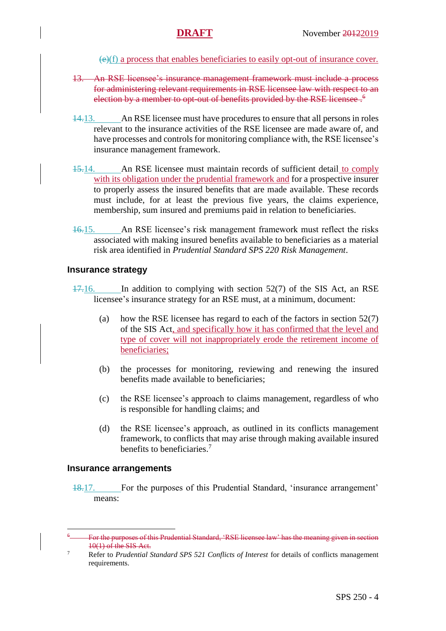(e)(f) a process that enables beneficiaries to easily opt-out of insurance cover.

- 13. An RSE licensee's insurance management framework must include a process for administering relevant requirements in RSE licensee law with respect to an election by a member to opt-out of benefits provided by the RSE licensee.<sup>6</sup>
- 14.13. An RSE licensee must have procedures to ensure that all persons in roles relevant to the insurance activities of the RSE licensee are made aware of, and have processes and controls for monitoring compliance with, the RSE licensee's insurance management framework.
- <span id="page-3-0"></span>15.14. An RSE licensee must maintain records of sufficient detail to comply with its obligation under the prudential framework and for a prospective insurer to properly assess the insured benefits that are made available. These records must include, for at least the previous five years, the claims experience, membership, sum insured and premiums paid in relation to beneficiaries.
- 16.15. An RSE licensee's risk management framework must reflect the risks associated with making insured benefits available to beneficiaries as a material risk area identified in *Prudential Standard SPS 220 Risk Management*.

#### **Insurance strategy**

- 17.16. In addition to complying with section 52(7) of the SIS Act, an RSE licensee's insurance strategy for an RSE must, at a minimum, document:
	- (a) how the RSE licensee has regard to each of the factors in section  $52(7)$ of the SIS Act, and specifically how it has confirmed that the level and type of cover will not inappropriately erode the retirement income of beneficiaries;
	- (b) the processes for monitoring, reviewing and renewing the insured benefits made available to beneficiaries;
	- (c) the RSE licensee's approach to claims management, regardless of who is responsible for handling claims; and
	- (d) the RSE licensee's approach, as outlined in its conflicts management framework, to conflicts that may arise through making available insured benefits to beneficiaries. 7

#### **Insurance arrangements**

 $\overline{a}$ 

18.17. For the purposes of this Prudential Standard, 'insurance arrangement' means:

For the purposes of this Prudential Standard, 'RSE licensee law' has the meaning given in section  $10(1)$  of the SIS Act.

<sup>7</sup> Refer to *Prudential Standard SPS 521 Conflicts of Interest* for details of conflicts management requirements.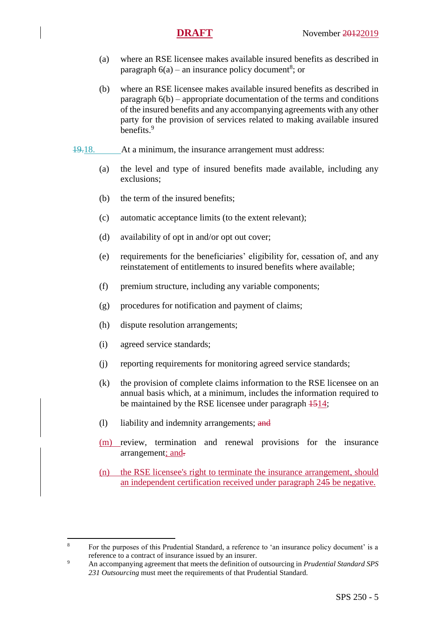- (a) where an RSE licensee makes available insured benefits as described in paragraph  $6(a)$  – an insurance policy document<sup>8</sup>; or
- (b) where an RSE licensee makes available insured benefits as described in paragraph [6\(](#page-1-0)b) – appropriate documentation of the terms and conditions of the insured benefits and any accompanying agreements with any other party for the provision of services related to making available insured benefits.<sup>9</sup>
- 19.18. At a minimum, the insurance arrangement must address:
	- (a) the level and type of insured benefits made available, including any exclusions;
	- (b) the term of the insured benefits;
	- (c) automatic acceptance limits (to the extent relevant);
	- (d) availability of opt in and/or opt out cover;
	- (e) requirements for the beneficiaries' eligibility for, cessation of, and any reinstatement of entitlements to insured benefits where available;
	- (f) premium structure, including any variable components;
	- (g) procedures for notification and payment of claims;
	- (h) dispute resolution arrangements;
	- (i) agreed service standards;

 $\overline{a}$ 

- (j) reporting requirements for monitoring agreed service standards;
- (k) the provision of complete claims information to the RSE licensee on an annual basis which, at a minimum, includes the information required to be maintained by the RSE licensee under paragraph  $\frac{1514}{15}$ ;
- (1) liability and indemnity arrangements; and
- (m) review, termination and renewal provisions for the insurance arrangement; and-
- (n) the RSE licensee's right to terminate the insurance arrangement, should an independent certification received under paragraph 245 be negative.

<sup>&</sup>lt;sup>8</sup> For the purposes of this Prudential Standard, a reference to 'an insurance policy document' is a reference to a contract of insurance issued by an insurer.

<sup>9</sup> An accompanying agreement that meets the definition of outsourcing in *Prudential Standard SPS 231 Outsourcing* must meet the requirements of that Prudential Standard.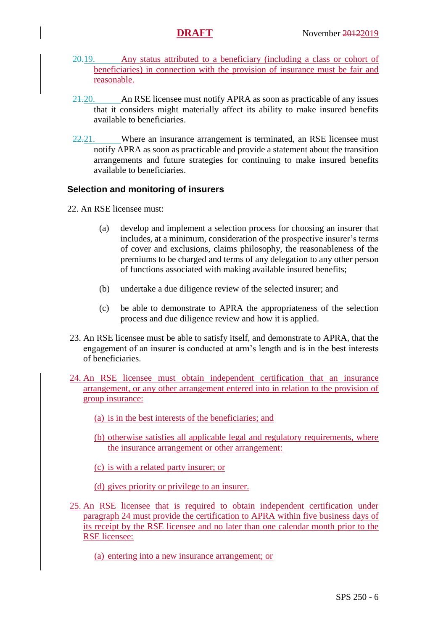- 20.19. Any status attributed to a beneficiary (including a class or cohort of beneficiaries) in connection with the provision of insurance must be fair and reasonable.
- 21.20. An RSE licensee must notify APRA as soon as practicable of any issues that it considers might materially affect its ability to make insured benefits available to beneficiaries.
- $22.21$ . Where an insurance arrangement is terminated, an RSE licensee must notify APRA as soon as practicable and provide a statement about the transition arrangements and future strategies for continuing to make insured benefits available to beneficiaries.

### **Selection and monitoring of insurers**

- 22. An RSE licensee must:
	- (a) develop and implement a selection process for choosing an insurer that includes, at a minimum, consideration of the prospective insurer's terms of cover and exclusions, claims philosophy, the reasonableness of the premiums to be charged and terms of any delegation to any other person of functions associated with making available insured benefits;
	- (b) undertake a due diligence review of the selected insurer; and
	- (c) be able to demonstrate to APRA the appropriateness of the selection process and due diligence review and how it is applied.
- 23. An RSE licensee must be able to satisfy itself, and demonstrate to APRA, that the engagement of an insurer is conducted at arm's length and is in the best interests of beneficiaries.
- 24. An RSE licensee must obtain independent certification that an insurance arrangement, or any other arrangement entered into in relation to the provision of group insurance:
	- (a) is in the best interests of the beneficiaries; and
	- (b) otherwise satisfies all applicable legal and regulatory requirements, where the insurance arrangement or other arrangement:
	- (c) is with a related party insurer; or
	- (d) gives priority or privilege to an insurer.
- <span id="page-5-0"></span>25. An RSE licensee that is required to obtain independent certification under paragraph 24 must provide the certification to APRA within five business days of its receipt by the RSE licensee and no later than one calendar month prior to the RSE licensee:
	- (a) entering into a new insurance arrangement; or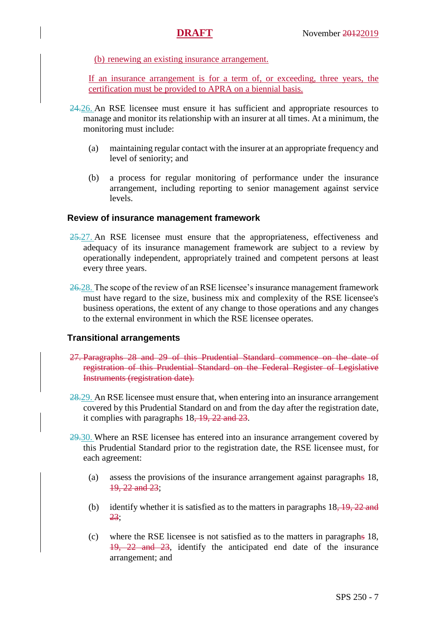(b) renewing an existing insurance arrangement.

If an insurance arrangement is for a term of, or exceeding, three years, the certification must be provided to APRA on a biennial basis.

- 24.26. An RSE licensee must ensure it has sufficient and appropriate resources to manage and monitor its relationship with an insurer at all times. At a minimum, the monitoring must include:
	- (a) maintaining regular contact with the insurer at an appropriate frequency and level of seniority; and
	- (b) a process for regular monitoring of performance under the insurance arrangement, including reporting to senior management against service levels.

#### **Review of insurance management framework**

- 25.27. An RSE licensee must ensure that the appropriateness, effectiveness and adequacy of its insurance management framework are subject to a review by operationally independent, appropriately trained and competent persons at least every three years.
- 26.28. The scope of the review of an RSE licensee's insurance management framework must have regard to the size, business mix and complexity of the RSE licensee's business operations, the extent of any change to those operations and any changes to the external environment in which the RSE licensee operates.

#### **Transitional arrangements**

- 27. Paragraphs [28](#page-6-0) and [29](#page-6-1) of this Prudential Standard commence on the date of registration of this Prudential Standard on the Federal Register of Legislative Instruments (registration date).
- <span id="page-6-0"></span>28.29. An RSE licensee must ensure that, when entering into an insurance arrangement covered by this Prudential Standard on and from the day after the registration date, it complies with paragraphs 18, 19, 22 and 23.
- <span id="page-6-1"></span>29.30. Where an RSE licensee has entered into an insurance arrangement covered by this Prudential Standard prior to the registration date, the RSE licensee must, for each agreement:
	- (a) assess the provisions of the insurance arrangement against paragraphs 18, 19, 22 and 23;
	- (b) identify whether it is satisfied as to the matters in paragraphs  $18, 19, 22$  and 23;
	- (c) where the RSE licensee is not satisfied as to the matters in paragraphs 18, 19, 22 and 23, identify the anticipated end date of the insurance arrangement; and